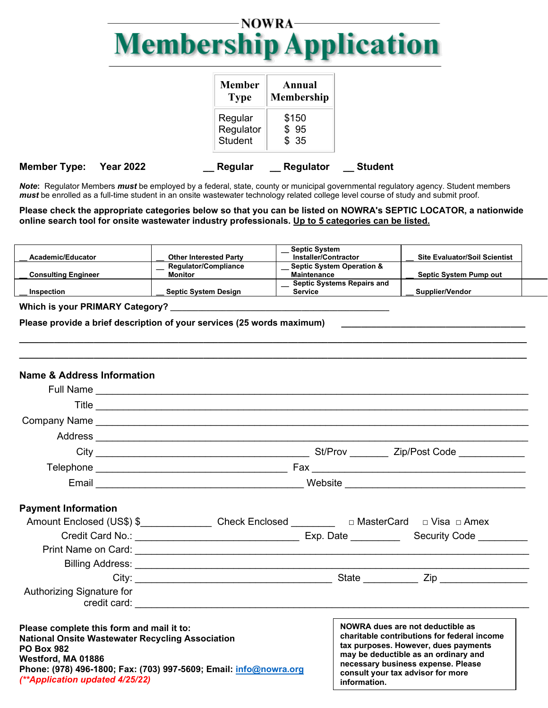## NOWRA-**Membership Application**

|                     |                  | <b>Member</b><br><b>Type</b>           | Annual<br><b>Membership</b> |                |
|---------------------|------------------|----------------------------------------|-----------------------------|----------------|
|                     |                  | Regular<br>Regulator<br><b>Student</b> | \$150<br>\$95<br>\$35       |                |
| <b>Member Type:</b> | <b>Year 2022</b> | Regular                                | <b>Regulator</b>            | <b>Student</b> |

*Note***:** Regulator Members *must* be employed by a federal, state, county or municipal governmental regulatory agency. Student members *must* be enrolled as a full-time student in an onsite wastewater technology related college level course of study and submit proof.

#### **Please check the appropriate categories below so that you can be listed on NOWRA's SEPTIC LOCATOR, a nationwide online search tool for onsite wastewater industry professionals. Up to 5 categories can be listed.**

| Academic/Educator          |                               | <b>Septic System</b><br>Installer/Contractor | <b>Site Evaluator/Soil Scientist</b> |
|----------------------------|-------------------------------|----------------------------------------------|--------------------------------------|
|                            | <b>Other Interested Party</b> |                                              |                                      |
|                            | <b>Requiator/Compliance</b>   | <b>Septic System Operation &amp;</b>         |                                      |
| <b>Consulting Engineer</b> | Monitor                       | <b>Maintenance</b>                           | <b>Septic System Pump out</b>        |
|                            |                               | <b>Septic Systems Repairs and</b>            |                                      |
| Inspection                 | <b>Septic System Design</b>   | <b>Service</b>                               | Supplier/Vendor                      |
|                            |                               |                                              |                                      |

**\_\_\_\_\_\_\_\_\_\_\_\_\_\_\_\_\_\_\_\_\_\_\_\_\_\_\_\_\_\_\_\_\_\_\_\_\_\_\_\_\_\_\_\_\_\_\_\_\_\_\_\_\_\_\_\_\_\_\_\_\_\_\_\_\_\_\_\_\_\_\_\_\_\_\_\_\_\_\_\_\_\_\_\_\_\_\_\_\_\_\_\_\_\_\_\_\_\_\_\_\_\_ \_\_\_\_\_\_\_\_\_\_\_\_\_\_\_\_\_\_\_\_\_\_\_\_\_\_\_\_\_\_\_\_\_\_\_\_\_\_\_\_\_\_\_\_\_\_\_\_\_\_\_\_\_\_\_\_\_\_\_\_\_\_\_\_\_\_\_\_\_\_\_\_\_\_\_\_\_\_\_\_\_\_\_\_\_\_\_\_\_\_\_\_\_\_\_\_\_\_\_\_\_\_**

### **Which is your PRIMARY Category? \_\_\_\_\_\_\_\_\_\_\_\_\_\_\_\_\_\_\_\_\_\_\_\_\_\_\_\_\_\_\_\_\_\_\_\_\_\_\_\_\_\_\_\_\_\_\_\_\_\_\_\_\_\_\_**

Please provide a brief description of your services (25 words maximum)

#### **Name & Address Information** Full Name \_\_\_\_\_\_\_\_\_\_\_\_\_\_\_\_\_\_\_\_\_\_\_\_\_\_\_\_\_\_\_\_\_\_\_\_\_\_\_\_\_\_\_\_\_\_\_\_\_\_\_\_\_\_\_\_\_\_\_\_\_\_\_\_\_\_\_\_\_\_\_\_\_\_\_\_\_\_\_ Title  $\_\_\_\_\_\_\_\_\_\_$ Company Name \_\_\_\_\_\_\_\_\_\_\_\_\_\_\_\_\_\_\_\_\_\_\_\_\_\_\_\_\_\_\_\_\_\_\_\_\_\_\_\_\_\_\_\_\_\_\_\_\_\_\_\_\_\_\_\_\_\_\_\_\_\_\_\_\_\_\_\_\_\_\_\_\_\_\_\_\_\_\_ Address \_\_\_\_\_\_\_\_\_\_\_\_\_\_\_\_\_\_\_\_\_\_\_\_\_\_\_\_\_\_\_\_\_\_\_\_\_\_\_\_\_\_\_\_\_\_\_\_\_\_\_\_\_\_\_\_\_\_\_\_\_\_\_\_\_\_\_\_\_\_\_\_\_\_\_\_\_\_\_ City \_\_\_\_\_\_\_\_\_\_\_\_\_\_\_\_\_\_\_\_\_\_\_\_\_\_\_\_\_\_\_\_\_\_\_\_\_\_\_ St/Prov \_\_\_\_\_\_\_ Zip/Post Code \_\_\_\_\_\_\_\_\_\_\_\_ Telephone **Telephone** and the state of the state of the state of the state of the state of the state of the state of the state of the state of the state of the state of the state of the state of the state of the state of t Email \_\_\_\_\_\_\_\_\_\_\_\_\_\_\_\_\_\_\_\_\_\_\_\_\_\_\_\_\_\_\_\_\_\_\_\_\_\_ Website \_\_\_\_\_\_\_\_\_\_\_\_\_\_\_\_\_\_\_\_\_\_\_\_\_\_\_\_\_\_\_\_\_ **Payment Information** Amount Enclosed (US\$) \$ \_\_\_\_\_\_\_\_\_\_\_\_\_\_\_\_\_ Check Enclosed \_\_\_\_\_\_\_\_\_\_\_\_\_\_\_\_\_\_\_\_\_\_\_ MasterCard □ Visa □ Amex Credit Card No.: \_\_\_\_\_\_\_\_\_\_\_\_\_\_\_\_\_\_\_\_\_\_\_\_\_\_\_\_\_\_ Exp. Date \_\_\_\_\_\_\_\_\_ Security Code \_\_\_\_\_\_\_\_\_ Print Name on Card: Billing Address: \_\_\_\_\_\_\_\_\_\_\_\_\_\_\_\_\_\_\_\_\_\_\_\_\_\_\_\_\_\_\_\_\_\_\_\_\_\_\_\_\_\_\_\_\_\_\_\_\_\_\_\_\_\_\_\_\_\_\_\_\_\_\_\_\_\_\_\_\_\_\_\_ City: \_\_\_\_\_\_\_\_\_\_\_\_\_\_\_\_\_\_\_\_\_\_\_\_\_\_\_\_\_\_\_\_\_\_\_\_ State \_\_\_\_\_\_\_\_\_\_ Zip \_\_\_\_\_\_\_\_\_\_\_\_\_\_\_\_ Authorizing Signature for credit card:  $\Box$ **Please complete this form and mail it to: National Onsite Wastewater Recycling Association PO Box 982 Westford, MA 01886 Phone: (978) 496-1800; Fax: (703) 997-5609; Email: [info@nowra.org](mailto:info@nowra.org)** *(\*\*Application updated 4/25/22)* **Contributions to NOWRA are not deductible as charitable contributions for federal income charitable contributions for federal income tax purposes. However, dues payments may be tax purposes. However, dues payments deductible as an ordinary and necessary may be deductible as an ordinary and business expense. Please consult your tax necessary business expense. Please advisor for more information. consult your tax advisor for more NOWRA dues are not deductible as information.**